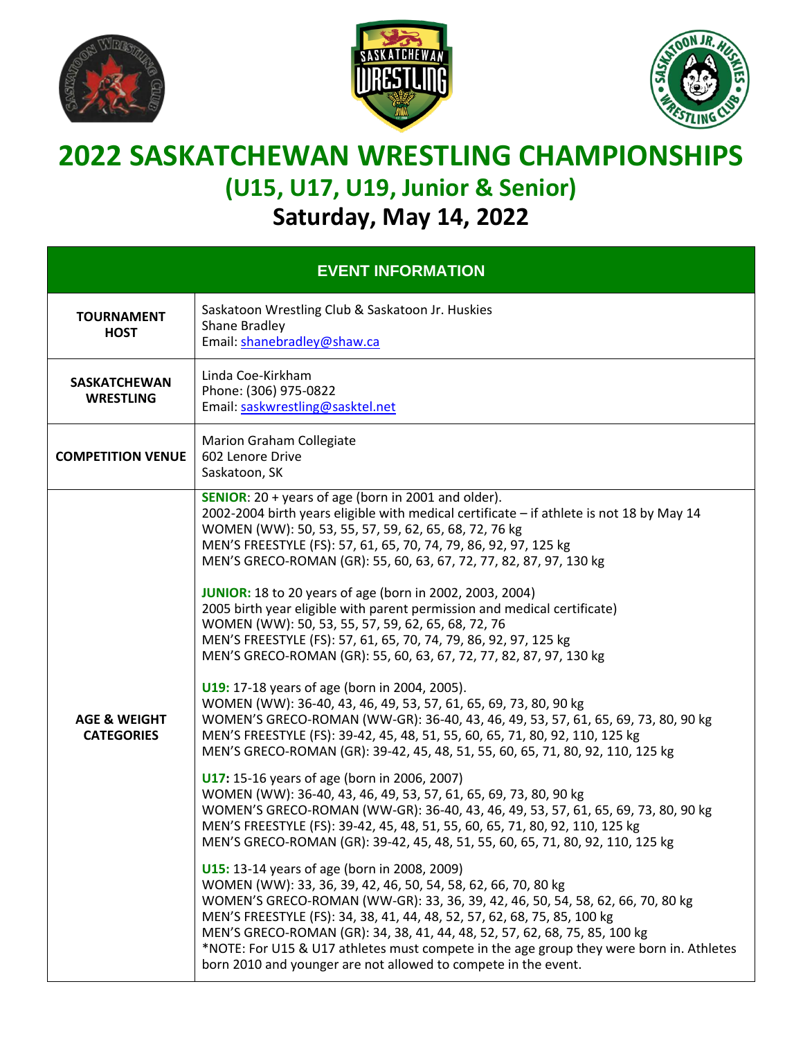





## **2022 SASKATCHEWAN WRESTLING CHAMPIONSHIPS (U15, U17, U19, Junior & Senior)**

**Saturday, May 14, 2022**

| <b>EVENT INFORMATION</b>                     |                                                                                                                                                                                                                                                                                                                                                                                                                                                                                                                                                                                                                                                                                                                                                                                                                                                                                                                                                                                                                                                                                                                                                                                                                                                                                                                                                                                                                                                                                                                                                                                                                                                                                                                                                                                                                                                                                                                                                                                                           |  |  |
|----------------------------------------------|-----------------------------------------------------------------------------------------------------------------------------------------------------------------------------------------------------------------------------------------------------------------------------------------------------------------------------------------------------------------------------------------------------------------------------------------------------------------------------------------------------------------------------------------------------------------------------------------------------------------------------------------------------------------------------------------------------------------------------------------------------------------------------------------------------------------------------------------------------------------------------------------------------------------------------------------------------------------------------------------------------------------------------------------------------------------------------------------------------------------------------------------------------------------------------------------------------------------------------------------------------------------------------------------------------------------------------------------------------------------------------------------------------------------------------------------------------------------------------------------------------------------------------------------------------------------------------------------------------------------------------------------------------------------------------------------------------------------------------------------------------------------------------------------------------------------------------------------------------------------------------------------------------------------------------------------------------------------------------------------------------------|--|--|
| <b>TOURNAMENT</b><br><b>HOST</b>             | Saskatoon Wrestling Club & Saskatoon Jr. Huskies<br>Shane Bradley<br>Email: shanebradley@shaw.ca                                                                                                                                                                                                                                                                                                                                                                                                                                                                                                                                                                                                                                                                                                                                                                                                                                                                                                                                                                                                                                                                                                                                                                                                                                                                                                                                                                                                                                                                                                                                                                                                                                                                                                                                                                                                                                                                                                          |  |  |
| <b>SASKATCHEWAN</b><br><b>WRESTLING</b>      | Linda Coe-Kirkham<br>Phone: (306) 975-0822<br>Email: saskwrestling@sasktel.net                                                                                                                                                                                                                                                                                                                                                                                                                                                                                                                                                                                                                                                                                                                                                                                                                                                                                                                                                                                                                                                                                                                                                                                                                                                                                                                                                                                                                                                                                                                                                                                                                                                                                                                                                                                                                                                                                                                            |  |  |
| <b>COMPETITION VENUE</b>                     | <b>Marion Graham Collegiate</b><br>602 Lenore Drive<br>Saskatoon, SK                                                                                                                                                                                                                                                                                                                                                                                                                                                                                                                                                                                                                                                                                                                                                                                                                                                                                                                                                                                                                                                                                                                                                                                                                                                                                                                                                                                                                                                                                                                                                                                                                                                                                                                                                                                                                                                                                                                                      |  |  |
| <b>AGE &amp; WEIGHT</b><br><b>CATEGORIES</b> | <b>SENIOR:</b> $20 + \text{years}$ of age (born in 2001 and older).<br>2002-2004 birth years eligible with medical certificate - if athlete is not 18 by May 14<br>WOMEN (WW): 50, 53, 55, 57, 59, 62, 65, 68, 72, 76 kg<br>MEN'S FREESTYLE (FS): 57, 61, 65, 70, 74, 79, 86, 92, 97, 125 kg<br>MEN'S GRECO-ROMAN (GR): 55, 60, 63, 67, 72, 77, 82, 87, 97, 130 kg<br><b>JUNIOR:</b> 18 to 20 years of age (born in 2002, 2003, 2004)<br>2005 birth year eligible with parent permission and medical certificate)<br>WOMEN (WW): 50, 53, 55, 57, 59, 62, 65, 68, 72, 76<br>MEN'S FREESTYLE (FS): 57, 61, 65, 70, 74, 79, 86, 92, 97, 125 kg<br>MEN'S GRECO-ROMAN (GR): 55, 60, 63, 67, 72, 77, 82, 87, 97, 130 kg<br>U19: 17-18 years of age (born in 2004, 2005).<br>WOMEN (WW): 36-40, 43, 46, 49, 53, 57, 61, 65, 69, 73, 80, 90 kg<br>WOMEN'S GRECO-ROMAN (WW-GR): 36-40, 43, 46, 49, 53, 57, 61, 65, 69, 73, 80, 90 kg<br>MEN'S FREESTYLE (FS): 39-42, 45, 48, 51, 55, 60, 65, 71, 80, 92, 110, 125 kg<br>MEN'S GRECO-ROMAN (GR): 39-42, 45, 48, 51, 55, 60, 65, 71, 80, 92, 110, 125 kg<br>U17: 15-16 years of age (born in 2006, 2007)<br>WOMEN (WW): 36-40, 43, 46, 49, 53, 57, 61, 65, 69, 73, 80, 90 kg<br>WOMEN'S GRECO-ROMAN (WW-GR): 36-40, 43, 46, 49, 53, 57, 61, 65, 69, 73, 80, 90 kg<br>MEN'S FREESTYLE (FS): 39-42, 45, 48, 51, 55, 60, 65, 71, 80, 92, 110, 125 kg<br>MEN'S GRECO-ROMAN (GR): 39-42, 45, 48, 51, 55, 60, 65, 71, 80, 92, 110, 125 kg<br><b>U15:</b> 13-14 years of age (born in 2008, 2009)<br>WOMEN (WW): 33, 36, 39, 42, 46, 50, 54, 58, 62, 66, 70, 80 kg<br>WOMEN'S GRECO-ROMAN (WW-GR): 33, 36, 39, 42, 46, 50, 54, 58, 62, 66, 70, 80 kg<br>MEN'S FREESTYLE (FS): 34, 38, 41, 44, 48, 52, 57, 62, 68, 75, 85, 100 kg<br>MEN'S GRECO-ROMAN (GR): 34, 38, 41, 44, 48, 52, 57, 62, 68, 75, 85, 100 kg<br>*NOTE: For U15 & U17 athletes must compete in the age group they were born in. Athletes<br>born 2010 and younger are not allowed to compete in the event. |  |  |